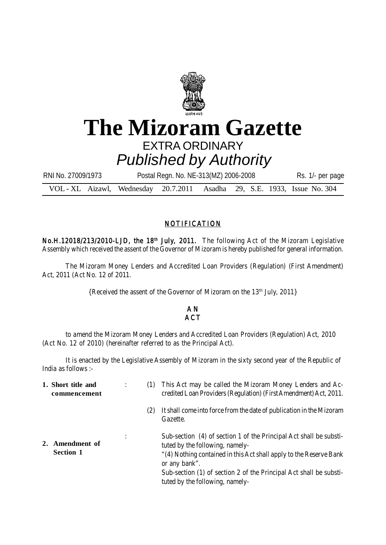

## **The Mizoram Gazette** EXTRA ORDINARY

VOL - XL Aizawl, Wednesday 20.7.2011 Asadha 29, S.E. 1933, Issue No. 304 *Published by Authority* RNI No. 27009/1973 Postal Regn. No. NE-313(MZ) 2006-2008 Rs. 1/- per page

## NOTIFICATION

No.H.12018/213/2010-LJD, the 18<sup>th</sup> July, 2011. The following Act of the Mizoram Legislative Assembly which received the assent of the Governor of Mizoram is hereby published for general information.

The Mizoram Money Lenders and Accredited Loan Providers (Regulation) (First Amendment) Act, 2011 (Act No. 12 of 2011.

{Received the assent of the Governor of Mizoram on the 13<sup>th</sup> July, 2011}

## A N **ACT**

to amend the Mizoram Money Lenders and Accredited Loan Providers (Regulation) Act, 2010 (Act No. 12 of 2010) (hereinafter referred to as the Principal Act).

It is enacted by the Legislative Assembly of Mizoram in the sixty second year of the Republic of India as follows :-

| 1. Short title and<br>commencement  | (1) | This Act may be called the Mizoram Money Lenders and Ac-<br>credited Loan Providers (Regulation) (First Amendment) Act, 2011.                                                                                                                                                                         |
|-------------------------------------|-----|-------------------------------------------------------------------------------------------------------------------------------------------------------------------------------------------------------------------------------------------------------------------------------------------------------|
|                                     | (2) | It shall come into force from the date of publication in the Mizoram<br>Gazette.                                                                                                                                                                                                                      |
| 2. Amendment of<br><b>Section 1</b> |     | Sub-section (4) of section 1 of the Principal Act shall be substi-<br>tuted by the following, namely-<br>"(4) Nothing contained in this Act shall apply to the Reserve Bank<br>or any bank".<br>Sub-section (1) of section 2 of the Principal Act shall be substi-<br>tuted by the following, namely- |